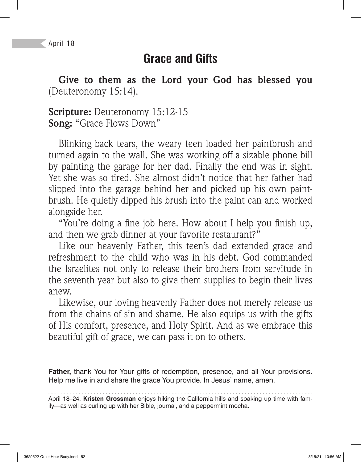## **Grace and Gifts**

**Give to them as the Lord your God has blessed you**  (Deuteronomy 15:14).

**Scripture:** Deuteronomy 15:12-15 **Song:** "Grace Flows Down"

Blinking back tears, the weary teen loaded her paintbrush and turned again to the wall. She was working off a sizable phone bill by painting the garage for her dad. Finally the end was in sight. Yet she was so tired. She almost didn't notice that her father had slipped into the garage behind her and picked up his own paintbrush. He quietly dipped his brush into the paint can and worked alongside her.

"You're doing a fine job here. How about I help you finish up, and then we grab dinner at your favorite restaurant?"

Like our heavenly Father, this teen's dad extended grace and refreshment to the child who was in his debt. God commanded the Israelites not only to release their brothers from servitude in the seventh year but also to give them supplies to begin their lives anew.

Likewise, our loving heavenly Father does not merely release us from the chains of sin and shame. He also equips us with the gifts of His comfort, presence, and Holy Spirit. And as we embrace this beautiful gift of grace, we can pass it on to others.

**Father,** thank You for Your gifts of redemption, presence, and all Your provisions. Help me live in and share the grace You provide. In Jesus' name, amen.

April 18–24. **Kristen Grossman** enjoys hiking the California hills and soaking up time with family—as well as curling up with her Bible, journal, and a peppermint mocha.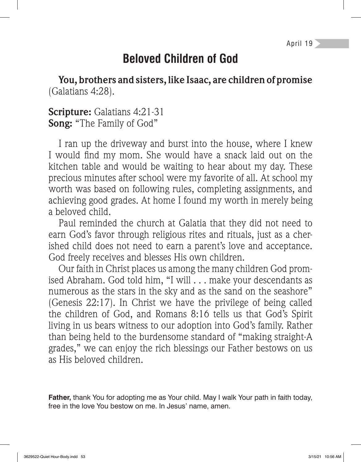## **Beloved Children of God**

**You, brothers and sisters, like Isaac, are children of promise**  (Galatians 4:28).

**Scripture:** Galatians 4:21-31 **Song:** "The Family of God"

I ran up the driveway and burst into the house, where I knew I would find my mom. She would have a snack laid out on the kitchen table and would be waiting to hear about my day. These precious minutes after school were my favorite of all. At school my worth was based on following rules, completing assignments, and achieving good grades. At home I found my worth in merely being a beloved child.

Paul reminded the church at Galatia that they did not need to earn God's favor through religious rites and rituals, just as a cherished child does not need to earn a parent's love and acceptance. God freely receives and blesses His own children.

Our faith in Christ places us among the many children God promised Abraham. God told him, "I will . . . make your descendants as numerous as the stars in the sky and as the sand on the seashore" (Genesis 22:17). In Christ we have the privilege of being called the children of God, and Romans 8:16 tells us that God's Spirit living in us bears witness to our adoption into God's family. Rather than being held to the burdensome standard of "making straight-A grades," we can enjoy the rich blessings our Father bestows on us as His beloved children.

**Father,** thank You for adopting me as Your child. May I walk Your path in faith today, free in the love You bestow on me. In Jesus' name, amen.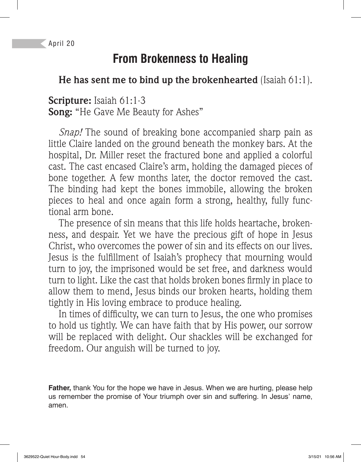April 20

# **From Brokenness to Healing**

### **He has sent me to bind up the brokenhearted** (Isaiah 61:1).

#### **Scripture:** Isaiah 61:1-3 **Song:** "He Gave Me Beauty for Ashes"

*Snap!* The sound of breaking bone accompanied sharp pain as little Claire landed on the ground beneath the monkey bars. At the hospital, Dr. Miller reset the fractured bone and applied a colorful cast. The cast encased Claire's arm, holding the damaged pieces of bone together. A few months later, the doctor removed the cast. The binding had kept the bones immobile, allowing the broken pieces to heal and once again form a strong, healthy, fully functional arm bone.

The presence of sin means that this life holds heartache, brokenness, and despair. Yet we have the precious gift of hope in Jesus Christ, who overcomes the power of sin and its effects on our lives. Jesus is the fulfillment of Isaiah's prophecy that mourning would turn to joy, the imprisoned would be set free, and darkness would turn to light. Like the cast that holds broken bones firmly in place to allow them to mend, Jesus binds our broken hearts, holding them tightly in His loving embrace to produce healing.

In times of difficulty, we can turn to Jesus, the one who promises to hold us tightly. We can have faith that by His power, our sorrow will be replaced with delight. Our shackles will be exchanged for freedom. Our anguish will be turned to joy.

**Father,** thank You for the hope we have in Jesus. When we are hurting, please help us remember the promise of Your triumph over sin and suffering. In Jesus' name, amen.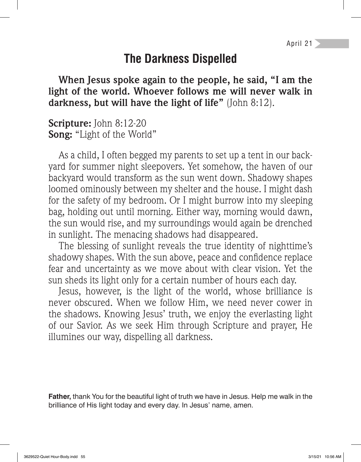### **The Darkness Dispelled**

**When Jesus spoke again to the people, he said, "I am the light of the world. Whoever follows me will never walk in darkness, but will have the light of life"** (John 8:12).

**Scripture:** John 8:12-20 **Song:** "Light of the World"

As a child, I often begged my parents to set up a tent in our backyard for summer night sleepovers. Yet somehow, the haven of our backyard would transform as the sun went down. Shadowy shapes loomed ominously between my shelter and the house. I might dash for the safety of my bedroom. Or I might burrow into my sleeping bag, holding out until morning. Either way, morning would dawn, the sun would rise, and my surroundings would again be drenched in sunlight. The menacing shadows had disappeared.

The blessing of sunlight reveals the true identity of nighttime's shadowy shapes. With the sun above, peace and confidence replace fear and uncertainty as we move about with clear vision. Yet the sun sheds its light only for a certain number of hours each day.

Jesus, however, is the light of the world, whose brilliance is never obscured. When we follow Him, we need never cower in the shadows. Knowing Jesus' truth, we enjoy the everlasting light of our Savior. As we seek Him through Scripture and prayer, He illumines our way, dispelling all darkness.

**Father,** thank You for the beautiful light of truth we have in Jesus. Help me walk in the brilliance of His light today and every day. In Jesus' name, amen.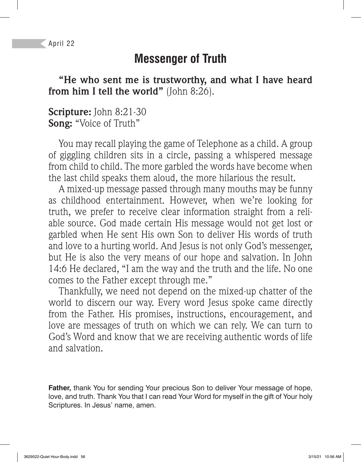April 22

## **Messenger of Truth**

**"He who sent me is trustworthy, and what I have heard from him I tell the world"** (John 8:26).

#### **Scripture:** John 8:21-30 **Song:** "Voice of Truth"

You may recall playing the game of Telephone as a child. A group of giggling children sits in a circle, passing a whispered message from child to child. The more garbled the words have become when the last child speaks them aloud, the more hilarious the result.

A mixed-up message passed through many mouths may be funny as childhood entertainment. However, when we're looking for truth, we prefer to receive clear information straight from a reliable source. God made certain His message would not get lost or garbled when He sent His own Son to deliver His words of truth and love to a hurting world. And Jesus is not only God's messenger, but He is also the very means of our hope and salvation. In John 14:6 He declared, "I am the way and the truth and the life. No one comes to the Father except through me."

Thankfully, we need not depend on the mixed-up chatter of the world to discern our way. Every word Jesus spoke came directly from the Father. His promises, instructions, encouragement, and love are messages of truth on which we can rely. We can turn to God's Word and know that we are receiving authentic words of life and salvation.

**Father,** thank You for sending Your precious Son to deliver Your message of hope, love, and truth. Thank You that I can read Your Word for myself in the gift of Your holy Scriptures. In Jesus' name, amen.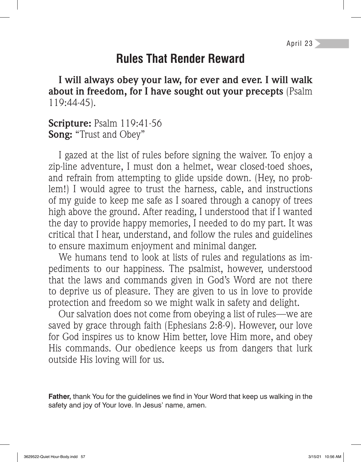## **Rules That Render Reward**

**I will always obey your law, for ever and ever. I will walk about in freedom, for I have sought out your precepts** (Psalm 119:44-45).

#### **Scripture:** Psalm 119:41-56 **Song:** "Trust and Obey"

I gazed at the list of rules before signing the waiver. To enjoy a zip-line adventure, I must don a helmet, wear closed-toed shoes, and refrain from attempting to glide upside down. (Hey, no problem!) I would agree to trust the harness, cable, and instructions of my guide to keep me safe as I soared through a canopy of trees high above the ground. After reading, I understood that if I wanted the day to provide happy memories, I needed to do my part. It was critical that I hear, understand, and follow the rules and guidelines to ensure maximum enjoyment and minimal danger.

We humans tend to look at lists of rules and regulations as impediments to our happiness. The psalmist, however, understood that the laws and commands given in God's Word are not there to deprive us of pleasure. They are given to us in love to provide protection and freedom so we might walk in safety and delight.

Our salvation does not come from obeying a list of rules—we are saved by grace through faith (Ephesians 2:8-9). However, our love for God inspires us to know Him better, love Him more, and obey His commands. Our obedience keeps us from dangers that lurk outside His loving will for us.

**Father,** thank You for the guidelines we find in Your Word that keep us walking in the safety and joy of Your love. In Jesus' name, amen.